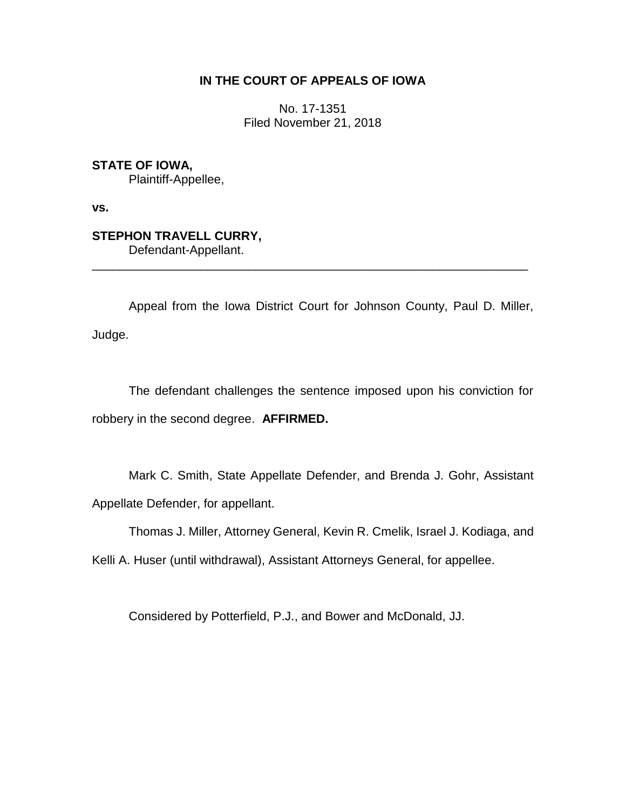## **IN THE COURT OF APPEALS OF IOWA**

No. 17-1351 Filed November 21, 2018

**STATE OF IOWA,** Plaintiff-Appellee,

**vs.**

## **STEPHON TRAVELL CURRY,** Defendant-Appellant.

Appeal from the Iowa District Court for Johnson County, Paul D. Miller, Judge.

\_\_\_\_\_\_\_\_\_\_\_\_\_\_\_\_\_\_\_\_\_\_\_\_\_\_\_\_\_\_\_\_\_\_\_\_\_\_\_\_\_\_\_\_\_\_\_\_\_\_\_\_\_\_\_\_\_\_\_\_\_\_\_\_

The defendant challenges the sentence imposed upon his conviction for robbery in the second degree. **AFFIRMED.**

Mark C. Smith, State Appellate Defender, and Brenda J. Gohr, Assistant Appellate Defender, for appellant.

Thomas J. Miller, Attorney General, Kevin R. Cmelik, Israel J. Kodiaga, and

Kelli A. Huser (until withdrawal), Assistant Attorneys General, for appellee.

Considered by Potterfield, P.J., and Bower and McDonald, JJ.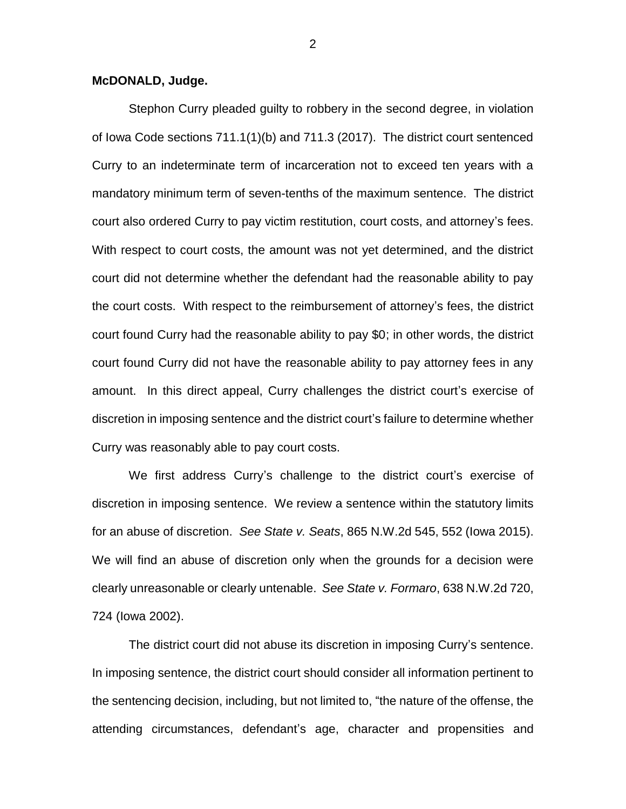## **McDONALD, Judge.**

Stephon Curry pleaded guilty to robbery in the second degree, in violation of Iowa Code sections 711.1(1)(b) and 711.3 (2017). The district court sentenced Curry to an indeterminate term of incarceration not to exceed ten years with a mandatory minimum term of seven-tenths of the maximum sentence. The district court also ordered Curry to pay victim restitution, court costs, and attorney's fees. With respect to court costs, the amount was not yet determined, and the district court did not determine whether the defendant had the reasonable ability to pay the court costs. With respect to the reimbursement of attorney's fees, the district court found Curry had the reasonable ability to pay \$0; in other words, the district court found Curry did not have the reasonable ability to pay attorney fees in any amount. In this direct appeal, Curry challenges the district court's exercise of discretion in imposing sentence and the district court's failure to determine whether Curry was reasonably able to pay court costs.

We first address Curry's challenge to the district court's exercise of discretion in imposing sentence. We review a sentence within the statutory limits for an abuse of discretion. *See State v. Seats*, 865 N.W.2d 545, 552 (Iowa 2015). We will find an abuse of discretion only when the grounds for a decision were clearly unreasonable or clearly untenable. *See State v. Formaro*, 638 N.W.2d 720, 724 (Iowa 2002).

The district court did not abuse its discretion in imposing Curry's sentence. In imposing sentence, the district court should consider all information pertinent to the sentencing decision, including, but not limited to, "the nature of the offense, the attending circumstances, defendant's age, character and propensities and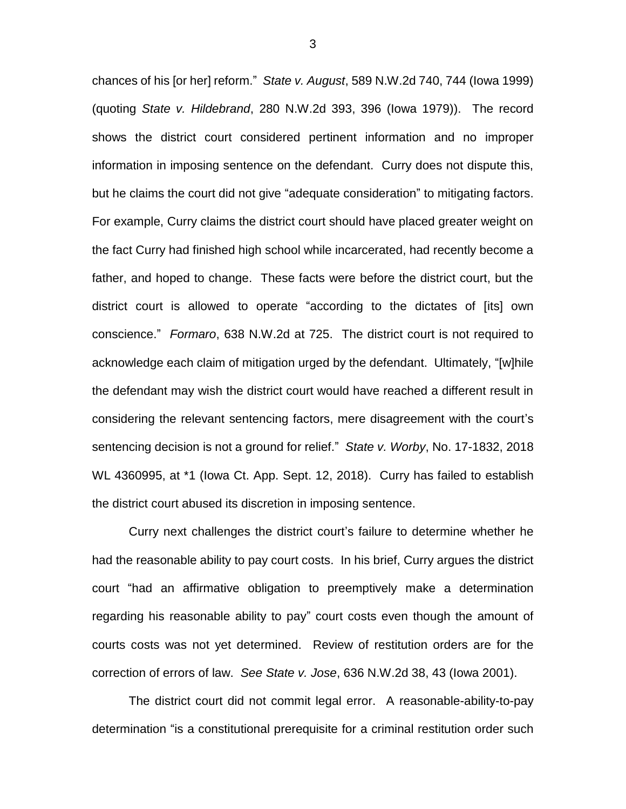chances of his [or her] reform." *State v. August*, 589 N.W.2d 740, 744 (Iowa 1999) (quoting *State v. Hildebrand*, 280 N.W.2d 393, 396 (Iowa 1979)). The record shows the district court considered pertinent information and no improper information in imposing sentence on the defendant. Curry does not dispute this, but he claims the court did not give "adequate consideration" to mitigating factors. For example, Curry claims the district court should have placed greater weight on the fact Curry had finished high school while incarcerated, had recently become a father, and hoped to change. These facts were before the district court, but the district court is allowed to operate "according to the dictates of [its] own conscience." *Formaro*, 638 N.W.2d at 725. The district court is not required to acknowledge each claim of mitigation urged by the defendant. Ultimately, "[w]hile the defendant may wish the district court would have reached a different result in considering the relevant sentencing factors, mere disagreement with the court's sentencing decision is not a ground for relief." *State v. Worby*, No. 17-1832, 2018 WL 4360995, at \*1 (Iowa Ct. App. Sept. 12, 2018). Curry has failed to establish the district court abused its discretion in imposing sentence.

Curry next challenges the district court's failure to determine whether he had the reasonable ability to pay court costs. In his brief, Curry argues the district court "had an affirmative obligation to preemptively make a determination regarding his reasonable ability to pay" court costs even though the amount of courts costs was not yet determined. Review of restitution orders are for the correction of errors of law. *See State v. Jose*, 636 N.W.2d 38, 43 (Iowa 2001).

The district court did not commit legal error. A reasonable-ability-to-pay determination "is a constitutional prerequisite for a criminal restitution order such